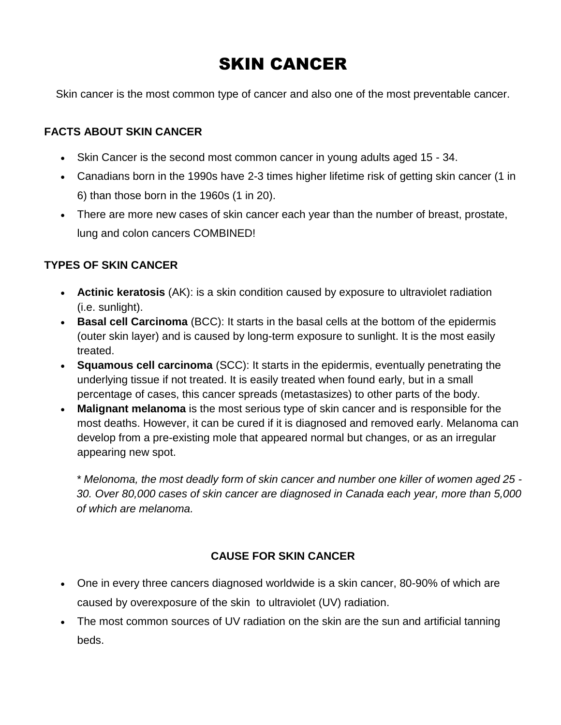# SKIN CANCER

Skin cancer is the most common type of cancer and also one of the most preventable cancer.

# **FACTS ABOUT SKIN CANCER**

- Skin Cancer is the second most common cancer in young adults aged 15 34.
- Canadians born in the 1990s have 2-3 times higher lifetime risk of getting skin cancer (1 in 6) than those born in the 1960s (1 in 20).
- There are more new cases of skin cancer each year than the number of breast, prostate, lung and colon cancers COMBINED!

# **TYPES OF SKIN CANCER**

- **[Actinic keratosis](http://www.canadianskincancerfoundation.com/actinic-keratosis.html)** (AK): is a skin condition caused by exposure to ultraviolet radiation (i.e. sunlight).
- **[Basal cell Carcinoma](http://www.canadianskincancerfoundation.com/basal-cell-carcinoma.html)** (BCC): It starts in the basal cells at the bottom of the epidermis (outer skin layer) and is caused by long-term exposure to sunlight. It is the most easily treated.
- **[Squamous cell carcinoma](http://www.canadianskincancerfoundation.com/squamous-cell-carcinoma.html)** (SCC): It starts in the epidermis, eventually penetrating the underlying tissue if not treated. It is easily treated when found early, but in a small percentage of cases, this cancer spreads (metastasizes) to other parts of the body.
- **[Malignant melanoma](http://www.canadianskincancerfoundation.com/malignant-melanoma.html)** is the most serious type of skin cancer and is responsible for the most deaths. However, it can be cured if it is diagnosed and removed early. Melanoma can develop from a pre-existing mole that appeared normal but changes, or as an irregular appearing new spot.

*\* Melonoma, the most deadly form of skin cancer and number one killer of women aged 25 - 30. Over 80,000 cases of skin cancer are diagnosed in Canada each year, more than 5,000 of which are melanoma.*

# **CAUSE FOR SKIN CANCER**

- One in every three cancers diagnosed worldwide is a skin cancer, 80-90% of which are caused by overexposure of the skin to ultraviolet (UV) radiation.
- The most common sources of UV radiation on the skin are the sun and artificial tanning beds.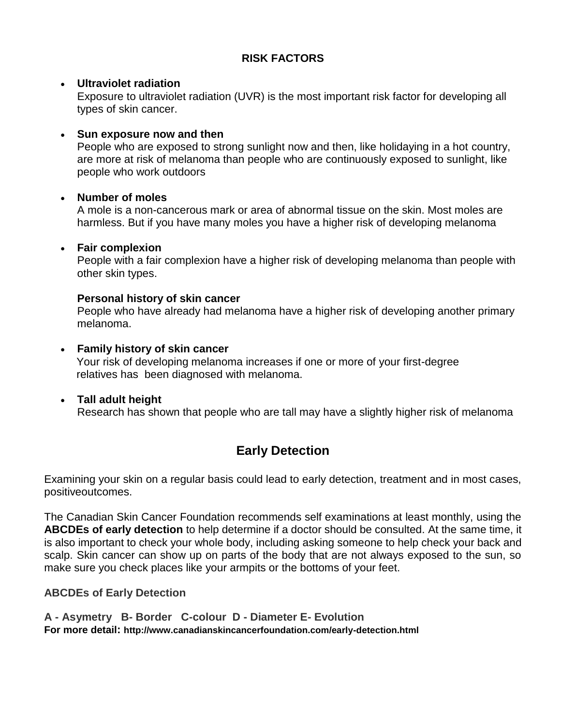# **RISK FACTORS**

#### **Ultraviolet radiation**

Exposure to ultraviolet radiation (UVR) is the most important risk factor for developing all types of skin cancer.

#### **Sun exposure now and then**

People who are exposed to strong sunlight now and then, like holidaying in a hot country, are more at risk of melanoma than people who are continuously exposed to sunlight, like people who work outdoors

#### **Number of moles**

A mole is a non-cancerous mark or area of abnormal tissue on the skin. Most moles are harmless. But if you have many moles you have a higher risk of developing melanoma

#### **Fair complexion**

People with a fair complexion have a higher risk of developing melanoma than people with other skin types.

#### **Personal history of skin cancer**

People who have already had melanoma have a higher risk of developing another primary melanoma.

#### **Family history of skin cancer** Your risk of developing melanoma increases if one or more of your first-degree relatives has been diagnosed with melanoma.

# **Tall adult height**

Research has shown that people who are tall may have a slightly higher risk of melanoma

# **Early Detection**

Examining your skin on a regular basis could lead to early detection, treatment and in most cases, positiveoutcomes.

The Canadian Skin Cancer Foundation recommends self examinations at least monthly, using the **ABCDEs of early detection** to help determine if a doctor should be consulted. At the same time, it is also important to check your whole body, including asking someone to help check your back and scalp. Skin cancer can show up on parts of the body that are not always exposed to the sun, so make sure you check places like your armpits or the bottoms of your feet.

# **ABCDEs of Early Detection**

**A - Asymetry B- Border C-colour D - Diameter E- Evolution For more detail: http://www.canadianskincancerfoundation.com/early-detection.html**